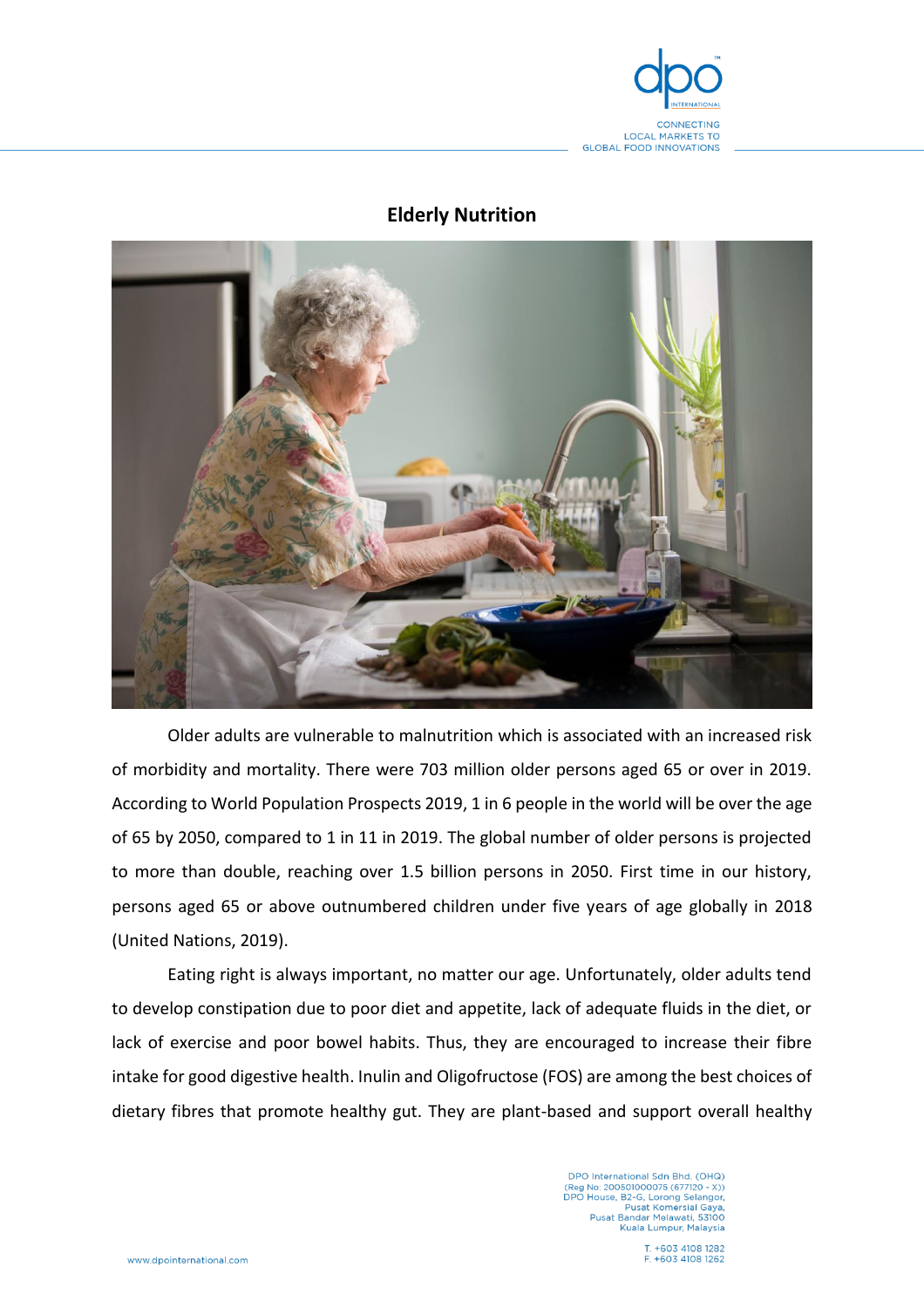

## **Elderly Nutrition**



Older adults are vulnerable to malnutrition which is associated with an increased risk of morbidity and mortality. There were 703 million older persons aged 65 or over in 2019. According to World Population Prospects 2019, 1 in 6 people in the world will be over the age of 65 by 2050, compared to 1 in 11 in 2019. The global number of older persons is projected to more than double, reaching over 1.5 billion persons in 2050. First time in our history, persons aged 65 or above outnumbered children under five years of age globally in 2018 (United Nations, 2019).

Eating right is always important, no matter our age. Unfortunately, older adults tend to develop constipation due to poor diet and appetite, lack of adequate fluids in the diet, or lack of exercise and poor bowel habits. Thus, they are encouraged to increase their fibre intake for good digestive health. Inulin and Oligofructose (FOS) are among the best choices of dietary fibres that promote healthy gut. They are plant-based and support overall healthy

> DPO International Sdn Bhd. (OHQ)<br>(Reg No: 200501000075 (677120 - X))<br>DPO House, B2-G, Lorong Selangor,<br>Pusat Komersial Gaya,<br>Pusat Bandar Melawati, 53100 Kuala Lumpur, Malaysia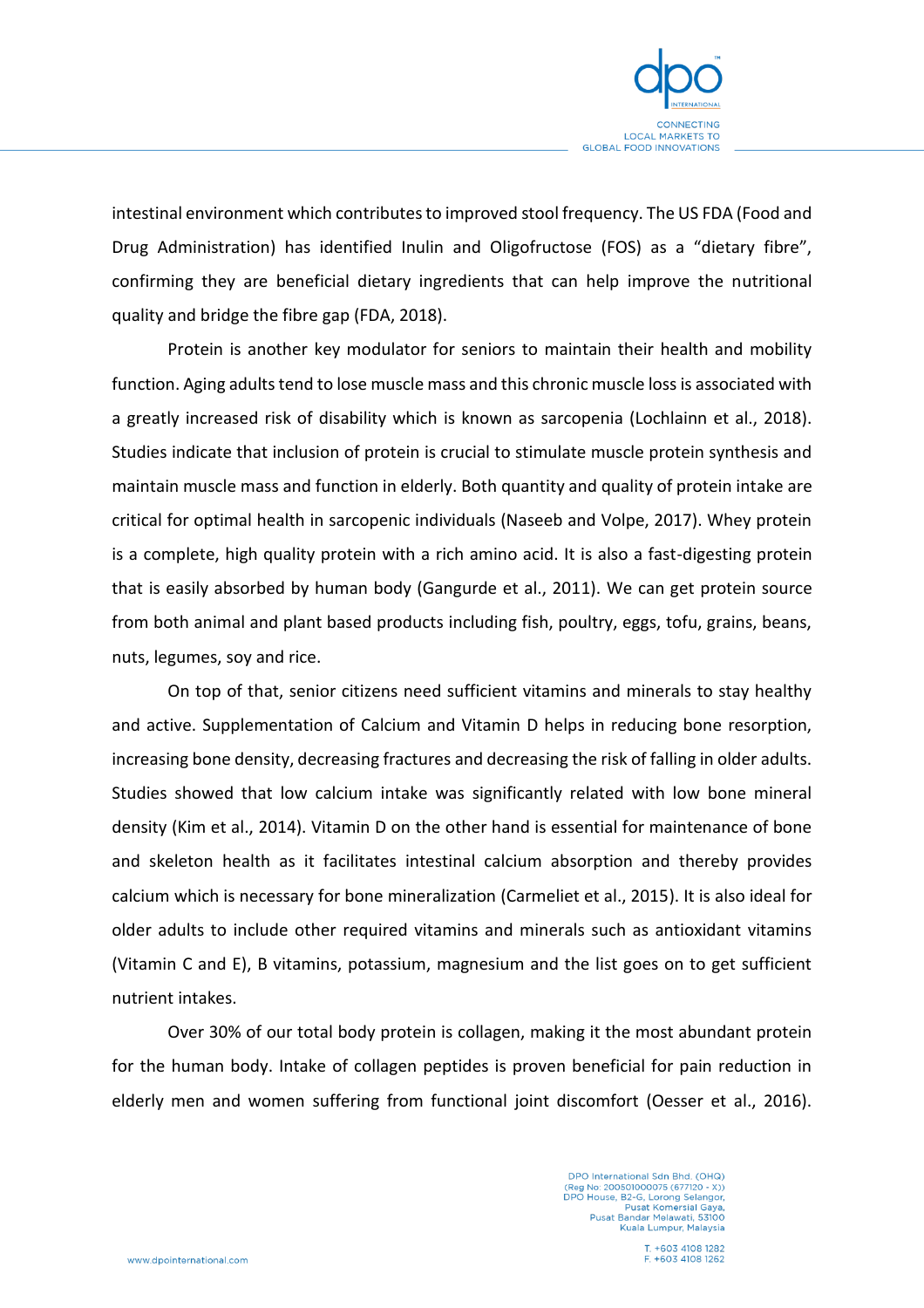

intestinal environment which contributes to improved stool frequency. The US FDA (Food and Drug Administration) has identified Inulin and Oligofructose (FOS) as a "dietary fibre", confirming they are beneficial dietary ingredients that can help improve the nutritional quality and bridge the fibre gap (FDA, 2018).

Protein is another key modulator for seniors to maintain their health and mobility function. Aging adults tend to lose muscle mass and this chronic muscle loss is associated with a greatly increased risk of disability which is known as sarcopenia (Lochlainn et al., 2018). Studies indicate that inclusion of protein is crucial to stimulate muscle protein synthesis and maintain muscle mass and function in elderly. Both quantity and quality of protein intake are critical for optimal health in sarcopenic individuals (Naseeb and Volpe, 2017). Whey protein is a complete, high quality protein with a rich amino acid. It is also a fast-digesting protein that is easily absorbed by human body (Gangurde et al., 2011). We can get protein source from both animal and plant based products including fish, poultry, eggs, tofu, grains, beans, nuts, legumes, soy and rice.

On top of that, senior citizens need sufficient vitamins and minerals to stay healthy and active. Supplementation of Calcium and Vitamin D helps in reducing bone resorption, increasing bone density, decreasing fractures and decreasing the risk of falling in older adults. Studies showed that low calcium intake was significantly related with low bone mineral density (Kim et al., 2014). Vitamin D on the other hand is essential for maintenance of bone and skeleton health as it facilitates intestinal calcium absorption and thereby provides calcium which is necessary for bone mineralization (Carmeliet et al., 2015). It is also ideal for older adults to include other required vitamins and minerals such as antioxidant vitamins (Vitamin C and E), B vitamins, potassium, magnesium and the list goes on to get sufficient nutrient intakes.

Over 30% of our total body protein is collagen, making it the most abundant protein for the human body. Intake of collagen peptides is proven beneficial for pain reduction in elderly men and women suffering from functional joint discomfort (Oesser et al., 2016).

> DPO International Sdn Bhd. (OHQ)<br>(Reg No: 200501000075 (677120 - X))<br>DPO House, B2-G, Lorong Selangor, Pusat Komersial Gaya,<br>Pusat Bandar Melawati, 53100 Kuala Lumpur, Malaysia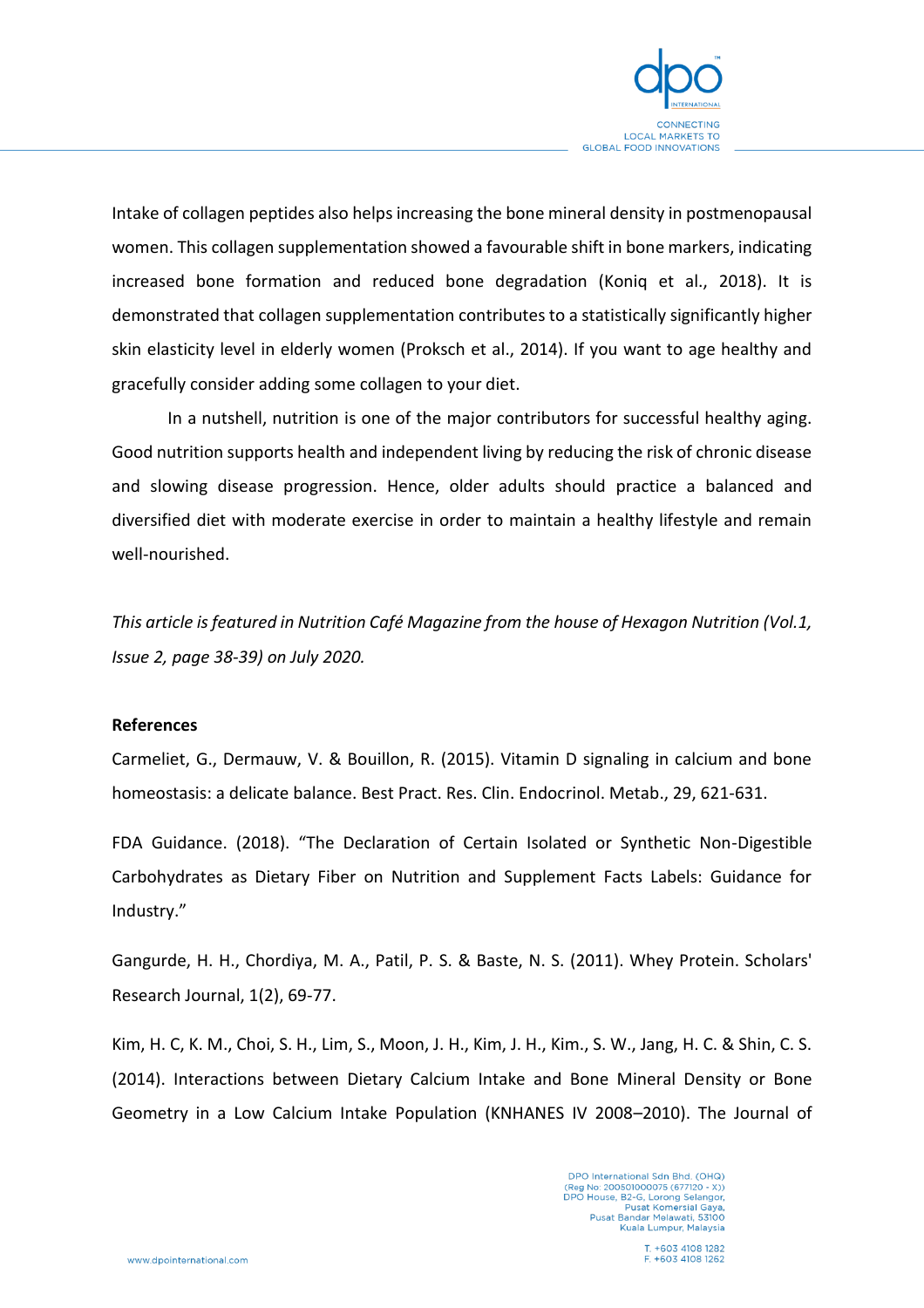

Intake of collagen peptides also helps increasing the bone mineral density in postmenopausal women. This collagen supplementation showed a favourable shift in bone markers, indicating increased bone formation and reduced bone degradation (Koniq et al., 2018). It is demonstrated that collagen supplementation contributes to a statistically significantly higher skin elasticity level in elderly women (Proksch et al., 2014). If you want to age healthy and gracefully consider adding some collagen to your diet.

In a nutshell, nutrition is one of the major contributors for successful healthy aging. Good nutrition supports health and independent living by reducing the risk of chronic disease and slowing disease progression. Hence, older adults should practice a balanced and diversified diet with moderate exercise in order to maintain a healthy lifestyle and remain well-nourished.

*This article is featured in Nutrition Café Magazine from the house of Hexagon Nutrition (Vol.1, Issue 2, page 38-39) on July 2020.*

## **References**

Carmeliet, G., Dermauw, V. & Bouillon, R. (2015). Vitamin D signaling in calcium and bone homeostasis: a delicate balance. Best Pract. Res. Clin. Endocrinol. Metab., 29, 621-631.

FDA Guidance. (2018). "The Declaration of Certain Isolated or Synthetic Non-Digestible Carbohydrates as Dietary Fiber on Nutrition and Supplement Facts Labels: Guidance for Industry."

Gangurde, H. H., Chordiya, M. A., Patil, P. S. & Baste, N. S. (2011). Whey Protein. Scholars' Research Journal, 1(2), 69-77.

Kim, H. C, K. M., Choi, S. H., Lim, S., Moon, J. H., Kim, J. H., Kim., S. W., Jang, H. C. & Shin, C. S. (2014). Interactions between Dietary Calcium Intake and Bone Mineral Density or Bone Geometry in a Low Calcium Intake Population (KNHANES IV 2008–2010). The Journal of